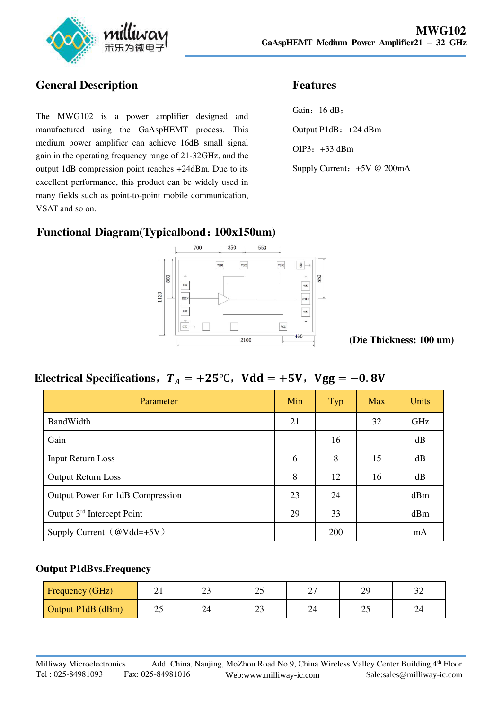

## **General Description**

The MWG102 is a power amplifier designed and manufactured using the GaAspHEMT process. This medium power amplifier can achieve 16dB small signal gain in the operating frequency range of 21-32GHz, and the output 1dB compression point reaches +24dBm. Due to its excellent performance, this product can be widely used in many fields such as point-to-point mobile communication, VSAT and so on.

### **Features**

Gain: 16 dB; Output P1dB:+24 dBm OIP3:+33 dBm Supply Current: +5V @ 200mA

## **Functional Diagram(Typicalbond**:**100x150um)**



**(Die Thickness: 100 um)** 

# **Electrical Specifications,**  $T_A = +25^{\circ}$ **C, Vdd = +5V, Vgg = -0.8V**

| Parameter                              | Min | Typ | <b>Max</b> | Units      |
|----------------------------------------|-----|-----|------------|------------|
| BandWidth                              | 21  |     | 32         | <b>GHz</b> |
| Gain                                   |     | 16  |            | dB         |
| <b>Input Return Loss</b>               | 6   | 8   | 15         | dB         |
| <b>Output Return Loss</b>              | 8   | 12  | 16         | dB         |
| Output Power for 1dB Compression       | 23  | 24  |            | dBm        |
| Output 3 <sup>rd</sup> Intercept Point | 29  | 33  |            | dBm        |
| Supply Current $(\omega Vdd = +5V)$    |     | 200 |            | mA         |

#### **Output P1dBvs.Frequency**

| <b>Frequency (GHz)</b> | ∸ ⊥ | າາ<br>∠~ | nε<br>ت   | $\sim$<br>- | ЭC<br>42 |   |
|------------------------|-----|----------|-----------|-------------|----------|---|
| Output P1dB (dBm)      | ت   | 24       | nη<br>ن ک | 4           | سد       | ▱ |